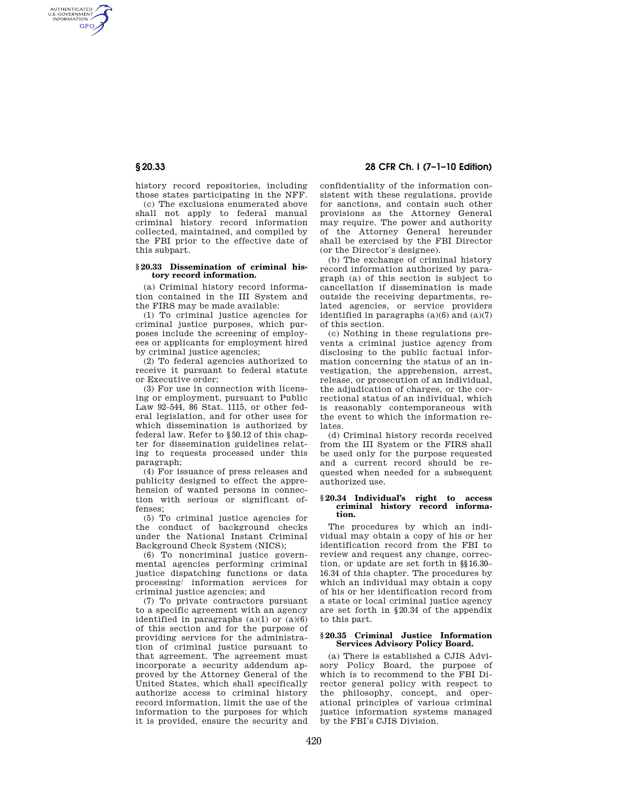AUTHENTICATED<br>U.S. GOVERNMENT<br>INFORMATION **GPO** 

> history record repositories, including those states participating in the NFF.

> (c) The exclusions enumerated above shall not apply to federal manual criminal history record information collected, maintained, and compiled by the FBI prior to the effective date of this subpart.

#### **§ 20.33 Dissemination of criminal history record information.**

(a) Criminal history record information contained in the III System and the FIRS may be made available:

(1) To criminal justice agencies for criminal justice purposes, which purposes include the screening of employees or applicants for employment hired by criminal justice agencies;

(2) To federal agencies authorized to receive it pursuant to federal statute or Executive order;

(3) For use in connection with licensing or employment, pursuant to Public Law 92–544, 86 Stat. 1115, or other federal legislation, and for other uses for which dissemination is authorized by federal law. Refer to §50.12 of this chapter for dissemination guidelines relating to requests processed under this paragraph;

(4) For issuance of press releases and publicity designed to effect the apprehension of wanted persons in connection with serious or significant offenses;

(5) To criminal justice agencies for the conduct of background checks under the National Instant Criminal Background Check System (NICS);

(6) To noncriminal justice governmental agencies performing criminal justice dispatching functions or data processing/ information services for criminal justice agencies; and

(7) To private contractors pursuant to a specific agreement with an agency identified in paragraphs  $(a)(1)$  or  $(a)(6)$ of this section and for the purpose of providing services for the administration of criminal justice pursuant to that agreement. The agreement must incorporate a security addendum approved by the Attorney General of the United States, which shall specifically authorize access to criminal history record information, limit the use of the information to the purposes for which it is provided, ensure the security and

# **§ 20.33 28 CFR Ch. I (7–1–10 Edition)**

confidentiality of the information consistent with these regulations, provide for sanctions, and contain such other provisions as the Attorney General may require. The power and authority of the Attorney General hereunder shall be exercised by the FBI Director (or the Director's designee).

(b) The exchange of criminal history record information authorized by paragraph (a) of this section is subject to cancellation if dissemination is made outside the receiving departments, related agencies, or service providers identified in paragraphs  $(a)(6)$  and  $(a)(7)$ of this section.

(c) Nothing in these regulations prevents a criminal justice agency from disclosing to the public factual information concerning the status of an investigation, the apprehension, arrest, release, or prosecution of an individual, the adjudication of charges, or the correctional status of an individual, which is reasonably contemporaneous with the event to which the information relates.

(d) Criminal history records received from the III System or the FIRS shall be used only for the purpose requested and a current record should be requested when needed for a subsequent authorized use.

### **§ 20.34 Individual's right to access criminal history record information.**

The procedures by which an individual may obtain a copy of his or her identification record from the FBI to review and request any change, correction, or update are set forth in §§16.30– 16.34 of this chapter. The procedures by which an individual may obtain a copy of his or her identification record from a state or local criminal justice agency are set forth in §20.34 of the appendix to this part.

# **§ 20.35 Criminal Justice Information Services Advisory Policy Board.**

(a) There is established a CJIS Advisory Policy Board, the purpose of which is to recommend to the FBI Director general policy with respect to the philosophy, concept, and operational principles of various criminal justice information systems managed by the FBI's CJIS Division.